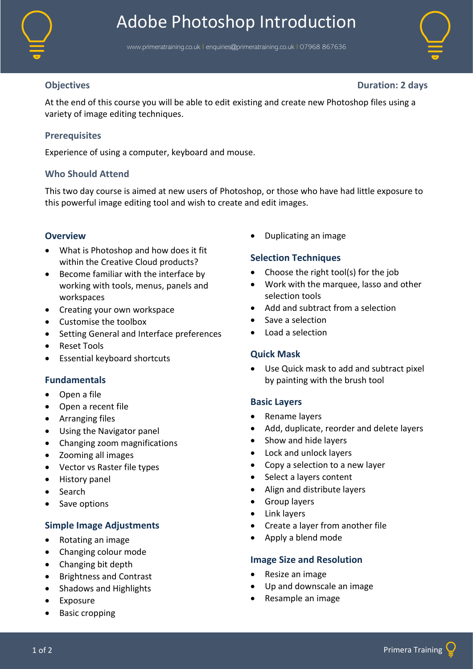

# Adobe Photoshop Introduction

www.primeratraining.co.uk I [enquiries@primeratraining.co.uk](mailto:enquiries@primeratraining.co.uk) I 07968 867636



**Objectives Duration: 2 days**

At the end of this course you will be able to edit existing and create new Photoshop files using a variety of image editing techniques.

# **Prerequisites**

Experience of using a computer, keyboard and mouse.

# **Who Should Attend**

This two day course is aimed at new users of Photoshop, or those who have had little exposure to this powerful image editing tool and wish to create and edit images.

#### **Overview**

- What is Photoshop and how does it fit within the Creative Cloud products?
- Become familiar with the interface by working with tools, menus, panels and workspaces
- Creating your own workspace
- Customise the toolbox
- Setting General and Interface preferences
- Reset Tools
- Essential keyboard shortcuts

# **Fundamentals**

- Open a file
- Open a recent file
- Arranging files
- Using the Navigator panel
- Changing zoom magnifications
- Zooming all images
- Vector vs Raster file types
- History panel
- Search
- Save options

# **Simple Image Adjustments**

- Rotating an image
- Changing colour mode
- Changing bit depth
- Brightness and Contrast
- Shadows and Highlights
- Exposure
- Basic cropping

• Duplicating an image

# **Selection Techniques**

- Choose the right tool(s) for the job
- Work with the marquee, lasso and other selection tools
- Add and subtract from a selection
- Save a selection
- Load a selection

# **Quick Mask**

Use Quick mask to add and subtract pixel by painting with the brush tool

#### **Basic Layers**

- Rename layers
- Add, duplicate, reorder and delete layers
- Show and hide layers
- Lock and unlock layers
- Copy a selection to a new layer
- Select a layers content
- Align and distribute layers
- Group layers
- Link layers
- Create a layer from another file
- Apply a blend mode

#### **Image Size and Resolution**

- Resize an image
- Up and downscale an image
- Resample an image